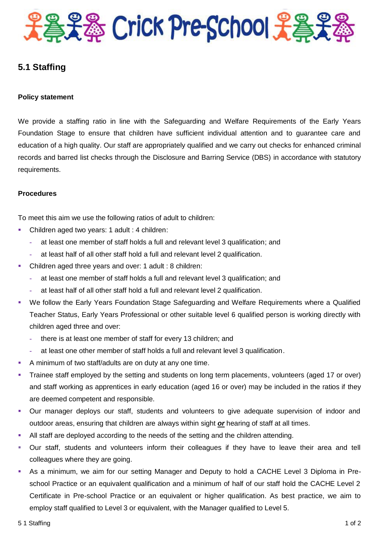

## **5.1 Staffing**

## **Policy statement**

We provide a staffing ratio in line with the Safeguarding and Welfare Requirements of the Early Years Foundation Stage to ensure that children have sufficient individual attention and to guarantee care and education of a high quality. Our staff are appropriately qualified and we carry out checks for enhanced criminal records and barred list checks through the Disclosure and Barring Service (DBS) in accordance with statutory requirements.

## **Procedures**

To meet this aim we use the following ratios of adult to children:

- Children aged two years: 1 adult : 4 children:
	- **-** at least one member of staff holds a full and relevant level 3 qualification; and
	- **-** at least half of all other staff hold a full and relevant level 2 qualification.
- Children aged three years and over: 1 adult : 8 children:
	- **-** at least one member of staff holds a full and relevant level 3 qualification; and
	- **-** at least half of all other staff hold a full and relevant level 2 qualification.
- We follow the Early Years Foundation Stage Safeguarding and Welfare Requirements where a Qualified Teacher Status, Early Years Professional or other suitable level 6 qualified person is working directly with children aged three and over:
	- **-** there is at least one member of staff for every 13 children; and
	- **-** at least one other member of staff holds a full and relevant level 3 qualification.
- A minimum of two staff/adults are on duty at any one time.
- Trainee staff employed by the setting and students on long term placements, volunteers (aged 17 or over) and staff working as apprentices in early education (aged 16 or over) may be included in the ratios if they are deemed competent and responsible.
- Our manager deploys our staff, students and volunteers to give adequate supervision of indoor and outdoor areas, ensuring that children are always within sight *or* hearing of staff at all times.
- All staff are deployed according to the needs of the setting and the children attending.
- Our staff, students and volunteers inform their colleagues if they have to leave their area and tell colleagues where they are going.
- As a minimum, we aim for our setting Manager and Deputy to hold a CACHE Level 3 Diploma in Preschool Practice or an equivalent qualification and a minimum of half of our staff hold the CACHE Level 2 Certificate in Pre-school Practice or an equivalent or higher qualification. As best practice, we aim to employ staff qualified to Level 3 or equivalent, with the Manager qualified to Level 5.